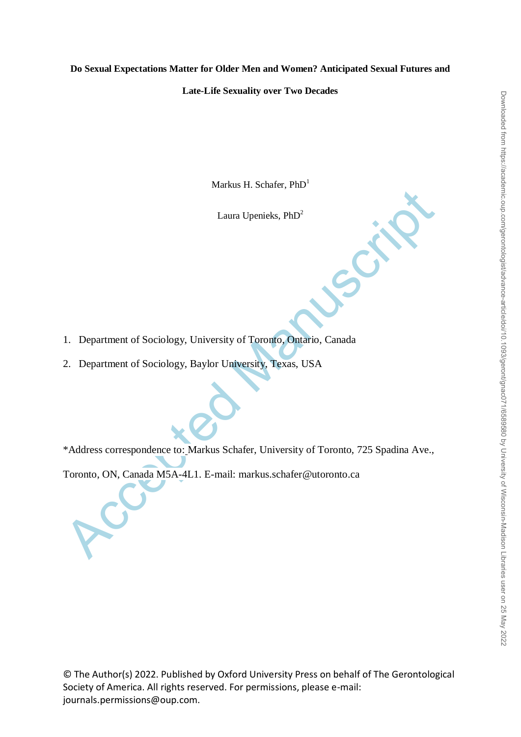## **Do Sexual Expectations Matter for Older Men and Women? Anticipated Sexual Futures and**

#### **Late-Life Sexuality over Two Decades**

Markus H. Schafer,  $PhD<sup>1</sup>$ 

Laura Upenieks, PhD<sup>2</sup>

- 1. Department of Sociology, University of Toronto, Ontario, Canada
- 2. Department of Sociology, Baylor University, Texas, USA

Laura Upenieks, PhD<sup>2</sup><br>Laura Upenieks, PhD<sup>2</sup><br>1. Department of Sociology, University of Toronto, Ontario, Canada<br>2. Department of Sociology, Baylor University, Texas, USA<br>\*Address correspondence to: Markus Schafer, Univers \*Address correspondence to: Markus Schafer, University of Toronto, 725 Spadina Ave.,

Toronto, ON, Canada M5A-4L1. E-mail: markus.schafer@utoronto.ca

© The Author(s) 2022. Published by Oxford University Press on behalf of The Gerontological Society of America. All rights reserved. For permissions, please e-mail: journals.permissions@oup.com.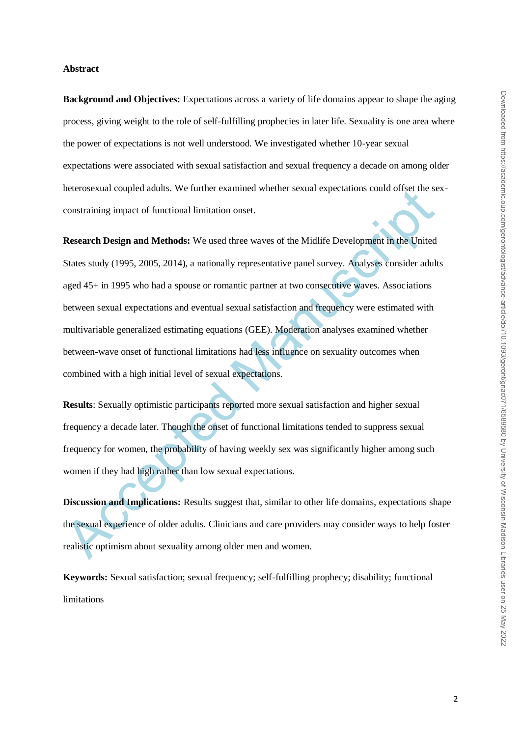#### **Abstract**

**Background and Objectives:** Expectations across a variety of life domains appear to shape the aging process, giving weight to the role of self-fulfilling prophecies in later life. Sexuality is one area where the power of expectations is not well understood. We investigated whether 10-year sexual expectations were associated with sexual satisfaction and sexual frequency a decade on among older heterosexual coupled adults. We further examined whether sexual expectations could offset the sexconstraining impact of functional limitation onset.

neerosexuar coupled attents. We turner examined whether sexual expectations colut onset the seconstraining impact of functional limitation onset.<br> **Research Design and Methods:** We used three waves of the Midlife Developme **Research Design and Methods:** We used three waves of the Midlife Development in the United States study (1995, 2005, 2014), a nationally representative panel survey. Analyses consider adults aged 45+ in 1995 who had a spouse or romantic partner at two consecutive waves. Associations between sexual expectations and eventual sexual satisfaction and frequency were estimated with multivariable generalized estimating equations (GEE). Moderation analyses examined whether between-wave onset of functional limitations had less influence on sexuality outcomes when combined with a high initial level of sexual expectations.

**Results**: Sexually optimistic participants reported more sexual satisfaction and higher sexual frequency a decade later. Though the onset of functional limitations tended to suppress sexual frequency for women, the probability of having weekly sex was significantly higher among such women if they had high rather than low sexual expectations.

**Discussion and Implications:** Results suggest that, similar to other life domains, expectations shape the sexual experience of older adults. Clinicians and care providers may consider ways to help foster realistic optimism about sexuality among older men and women.

**Keywords:** Sexual satisfaction; sexual frequency; self-fulfilling prophecy; disability; functional limitations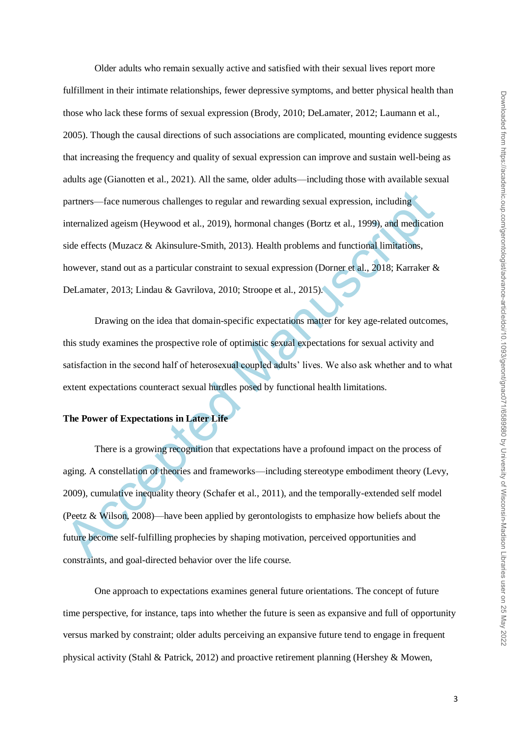Older adults who remain sexually active and satisfied with their sexual lives report more fulfillment in their intimate relationships, fewer depressive symptoms, and better physical health than those who lack these forms of sexual expression (Brody, 2010; DeLamater, 2012; Laumann et al., 2005). Though the causal directions of such associations are complicated, mounting evidence suggests that increasing the frequency and quality of sexual expression can improve and sustain well-being as adults age (Gianotten et al., 2021). All the same, older adults—including those with available sexual partners—face numerous challenges to regular and rewarding sexual expression, including internalized ageism (Heywood et al., 2019), hormonal changes (Bortz et al., 1999), and medication side effects (Muzacz & Akinsulure-Smith, 2013). Health problems and functional limitations, however, stand out as a particular constraint to sexual expression (Dorner et al., 2018; Karraker & DeLamater, 2013; Lindau & Gavrilova, 2010; Stroope et al., 2015).

Drawing on the idea that domain-specific expectations matter for key age-related outcomes, this study examines the prospective role of optimistic sexual expectations for sexual activity and satisfaction in the second half of heterosexual coupled adults' lives. We also ask whether and to what extent expectations counteract sexual hurdles posed by functional health limitations.

# **The Power of Expectations in Later Life**

partners—face numerous challenges to regular and rewarding sexual expression, including<br>internalized ageism (Heywood et al., 2019), hormonal changes (Bortz et al., 1999), and medicatio<br>side effects (Muzacz & Akinsulure-Smi There is a growing recognition that expectations have a profound impact on the process of aging. A constellation of theories and frameworks—including stereotype embodiment theory (Levy, 2009), cumulative inequality theory (Schafer et al., 2011), and the temporally-extended self model (Peetz & Wilson, 2008)—have been applied by gerontologists to emphasize how beliefs about the future become self-fulfilling prophecies by shaping motivation, perceived opportunities and constraints, and goal-directed behavior over the life course.

One approach to expectations examines general future orientations. The concept of future time perspective, for instance, taps into whether the future is seen as expansive and full of opportunity versus marked by constraint; older adults perceiving an expansive future tend to engage in frequent physical activity (Stahl & Patrick, 2012) and proactive retirement planning (Hershey & Mowen,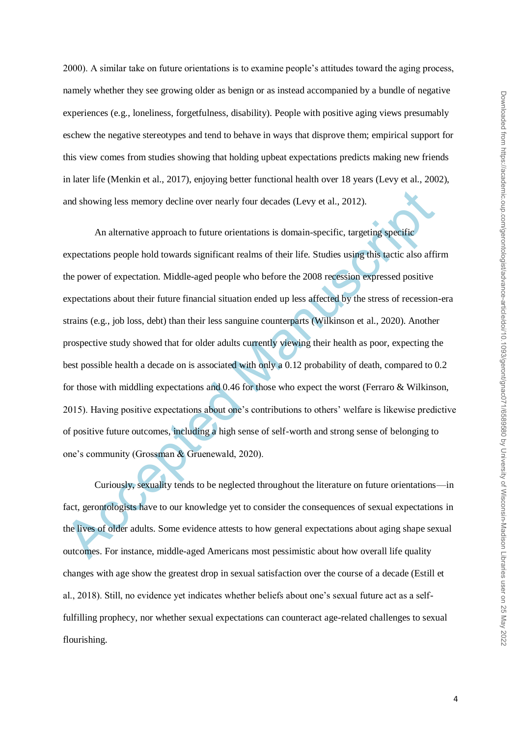2000). A similar take on future orientations is to examine people's attitudes toward the aging process, namely whether they see growing older as benign or as instead accompanied by a bundle of negative experiences (e.g., loneliness, forgetfulness, disability). People with positive aging views presumably eschew the negative stereotypes and tend to behave in ways that disprove them; empirical support for this view comes from studies showing that holding upbeat expectations predicts making new friends in later life (Menkin et al., 2017), enjoying better functional health over 18 years (Levy et al., 2002), and showing less memory decline over nearly four decades (Levy et al., 2012).

and showing less memory decline over nearly four decades (Levy et al., 2012).<br>An alternative approach to future orientations is domain-specific, targeting specific<br>expectations people hold towards significant realms of the An alternative approach to future orientations is domain-specific, targeting specific expectations people hold towards significant realms of their life. Studies using this tactic also affirm the power of expectation. Middle-aged people who before the 2008 recession expressed positive expectations about their future financial situation ended up less affected by the stress of recession-era strains (e.g., job loss, debt) than their less sanguine counterparts (Wilkinson et al., 2020). Another prospective study showed that for older adults currently viewing their health as poor, expecting the best possible health a decade on is associated with only a 0.12 probability of death, compared to 0.2 for those with middling expectations and 0.46 for those who expect the worst (Ferraro & Wilkinson, 2015). Having positive expectations about one's contributions to others' welfare is likewise predictive of positive future outcomes, including a high sense of self-worth and strong sense of belonging to one's community (Grossman & Gruenewald, 2020).

Curiously, sexuality tends to be neglected throughout the literature on future orientations—in fact, gerontologists have to our knowledge yet to consider the consequences of sexual expectations in the lives of older adults. Some evidence attests to how general expectations about aging shape sexual outcomes. For instance, middle-aged Americans most pessimistic about how overall life quality changes with age show the greatest drop in sexual satisfaction over the course of a decade (Estill et al., 2018). Still, no evidence yet indicates whether beliefs about one's sexual future act as a selffulfilling prophecy, nor whether sexual expectations can counteract age-related challenges to sexual flourishing.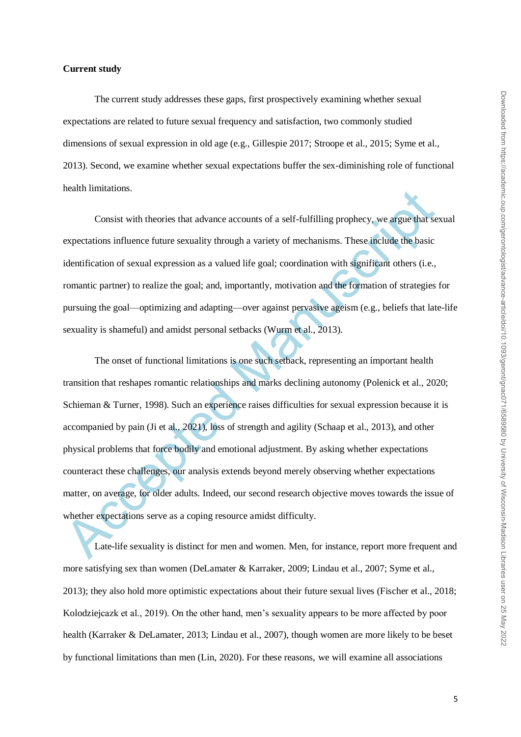#### **Current study**

The current study addresses these gaps, first prospectively examining whether sexual expectations are related to future sexual frequency and satisfaction, two commonly studied dimensions of sexual expression in old age (e.g., Gillespie 2017; Stroope et al., 2015; Syme et al., 2013). Second, we examine whether sexual expectations buffer the sex-diminishing role of functional health limitations.

Consist with theories that advance accounts of a self-fulfilling prophecy, we argue that sexual expectations influence future sexuality through a variety of mechanisms. These include the basic identification of sexual expression as a valued life goal; coordination with significant others (i.e., romantic partner) to realize the goal; and, importantly, motivation and the formation of strategies for pursuing the goal—optimizing and adapting—over against pervasive ageism (e.g., beliefs that late-life sexuality is shameful) and amidst personal setbacks (Wurm et al., 2013).

reann immators.<br>
Consist with theories that advance accounts of a self-fulfilling prophecy, we argue that sexpectations influence future sexuality through a variety of mechanisms. These include the basic<br>
identification of The onset of functional limitations is one such setback, representing an important health transition that reshapes romantic relationships and marks declining autonomy (Polenick et al., 2020; Schieman & Turner, 1998). Such an experience raises difficulties for sexual expression because it is accompanied by pain (Ji et al., 2021), loss of strength and agility (Schaap et al., 2013), and other physical problems that force bodily and emotional adjustment. By asking whether expectations counteract these challenges, our analysis extends beyond merely observing whether expectations matter, on average, for older adults. Indeed, our second research objective moves towards the issue of whether expectations serve as a coping resource amidst difficulty.

Late-life sexuality is distinct for men and women. Men, for instance, report more frequent and more satisfying sex than women (DeLamater & Karraker, 2009; Lindau et al., 2007; Syme et al., 2013); they also hold more optimistic expectations about their future sexual lives (Fischer et al., 2018; Kolodziejcazk et al., 2019). On the other hand, men's sexuality appears to be more affected by poor health (Karraker & DeLamater, 2013; Lindau et al., 2007), though women are more likely to be beset by functional limitations than men (Lin, 2020). For these reasons, we will examine all associations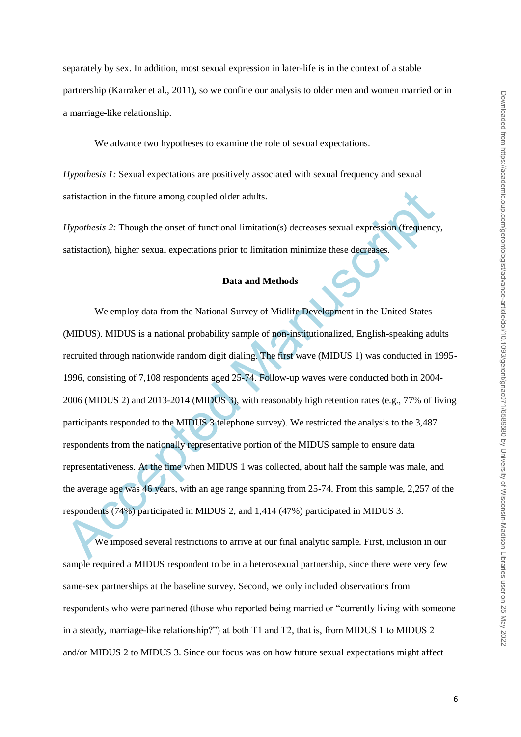separately by sex. In addition, most sexual expression in later-life is in the context of a stable partnership (Karraker et al., 2011), so we confine our analysis to older men and women married or in a marriage-like relationship.

We advance two hypotheses to examine the role of sexual expectations.

*Hypothesis 1:* Sexual expectations are positively associated with sexual frequency and sexual satisfaction in the future among coupled older adults.

*Hypothesis 2:* Though the onset of functional limitation(s) decreases sexual expression (frequency, satisfaction), higher sexual expectations prior to limitation minimize these decreases.

## **Data and Methods**

satisfaction in the future among coupled older adults.<br> *Hypothesis 2:* Though the onset of functional limitation(s) decreases sexual expression (frequency<br>
satisfaction), higher sexual expectations prior to limitation min We employ data from the National Survey of Midlife Development in the United States (MIDUS). MIDUS is a national probability sample of non-institutionalized, English-speaking adults recruited through nationwide random digit dialing. The first wave (MIDUS 1) was conducted in 1995- 1996, consisting of 7,108 respondents aged 25-74. Follow-up waves were conducted both in 2004- 2006 (MIDUS 2) and 2013-2014 (MIDUS 3), with reasonably high retention rates (e.g., 77% of living participants responded to the MIDUS 3 telephone survey). We restricted the analysis to the 3,487 respondents from the nationally representative portion of the MIDUS sample to ensure data representativeness. At the time when MIDUS 1 was collected, about half the sample was male, and the average age was 46 years, with an age range spanning from 25-74. From this sample, 2,257 of the respondents (74%) participated in MIDUS 2, and 1,414 (47%) participated in MIDUS 3.

We imposed several restrictions to arrive at our final analytic sample. First, inclusion in our sample required a MIDUS respondent to be in a heterosexual partnership, since there were very few same-sex partnerships at the baseline survey. Second, we only included observations from respondents who were partnered (those who reported being married or "currently living with someone in a steady, marriage-like relationship?") at both T1 and T2, that is, from MIDUS 1 to MIDUS 2 and/or MIDUS 2 to MIDUS 3. Since our focus was on how future sexual expectations might affect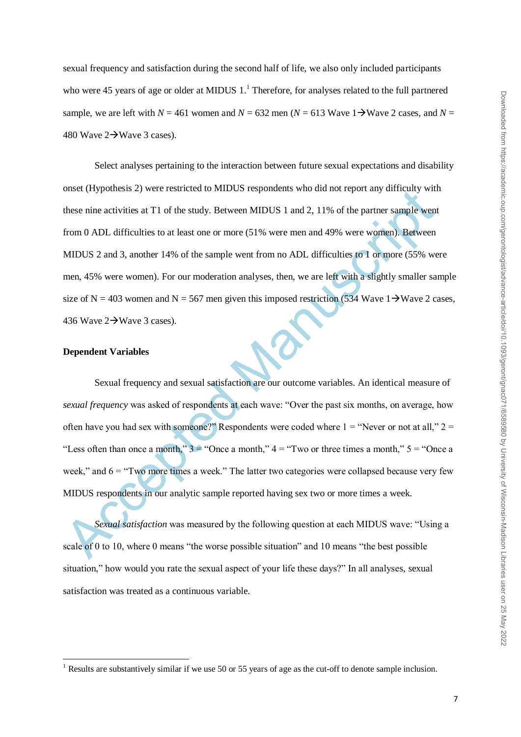sexual frequency and satisfaction during the second half of life, we also only included participants who were 45 years of age or older at MIDUS 1.<sup>1</sup> Therefore, for analyses related to the full partnered sample, we are left with  $N = 461$  women and  $N = 632$  men  $(N = 613$  Wave  $1 \rightarrow$  Wave 2 cases, and  $N =$ 480 Wave  $2\rightarrow$  Wave 3 cases).

onset (rypotosis z) were restricted to whild S respondents who during tep direct range measured the study. Between MIDUS 1 and 2, 11% of the partner sample went<br>from 0 ADL difficulties to at least one or more (51% were me Select analyses pertaining to the interaction between future sexual expectations and disability onset (Hypothesis 2) were restricted to MIDUS respondents who did not report any difficulty with these nine activities at T1 of the study. Between MIDUS 1 and 2, 11% of the partner sample went from 0 ADL difficulties to at least one or more (51% were men and 49% were women). Between MIDUS 2 and 3, another 14% of the sample went from no ADL difficulties to 1 or more (55% were men, 45% were women). For our moderation analyses, then, we are left with a slightly smaller sample size of N = 403 women and N = 567 men given this imposed restriction (534 Wave 1 $\rightarrow$ Wave 2 cases, 436 Wave  $2\rightarrow$  Wave 3 cases).

## **Dependent Variables**

**.** 

Sexual frequency and sexual satisfaction are our outcome variables. An identical measure of *sexual frequency* was asked of respondents at each wave: "Over the past six months, on average, how often have you had sex with someone?" Respondents were coded where  $1 =$  "Never or not at all,"  $2 =$ "Less often than once a month,"  $3 =$  "Once a month,"  $4 =$  "Two or three times a month,"  $5 =$  "Once a week," and  $6 =$  "Two more times a week." The latter two categories were collapsed because very few MIDUS respondents in our analytic sample reported having sex two or more times a week.

*Sexual satisfaction* was measured by the following question at each MIDUS wave: "Using a scale of 0 to 10, where 0 means "the worse possible situation" and 10 means "the best possible situation," how would you rate the sexual aspect of your life these days?" In all analyses, sexual satisfaction was treated as a continuous variable.

<sup>&</sup>lt;sup>1</sup> Results are substantively similar if we use 50 or 55 years of age as the cut-off to denote sample inclusion.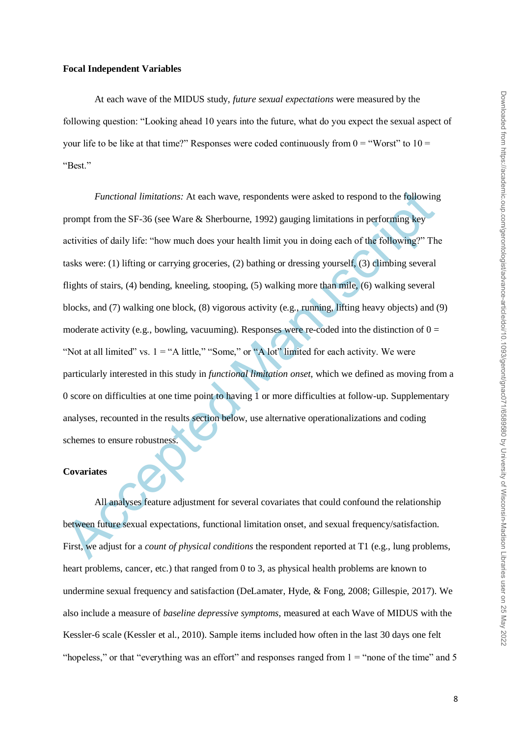#### **Focal Independent Variables**

At each wave of the MIDUS study, *future sexual expectations* were measured by the following question: "Looking ahead 10 years into the future, what do you expect the sexual aspect of your life to be like at that time?" Responses were coded continuously from  $0 =$  "Worst" to  $10 =$ "Best."

*Functional limitations:* At each wave, respondents were asked to respond to the following<br>prompt from the SF-36 (see Ware & Sherbourne, 1992) gauging limitations in performing key<br>activities of daily life: "how much does *Functional limitations:* At each wave, respondents were asked to respond to the following prompt from the SF-36 (see Ware  $\&$  Sherbourne, 1992) gauging limitations in performing key activities of daily life: "how much does your health limit you in doing each of the following?" The tasks were: (1) lifting or carrying groceries, (2) bathing or dressing yourself, (3) climbing several flights of stairs, (4) bending, kneeling, stooping, (5) walking more than mile, (6) walking several blocks, and (7) walking one block, (8) vigorous activity (e.g., running, lifting heavy objects) and (9) moderate activity (e.g., bowling, vacuuming). Responses were re-coded into the distinction of  $0 =$ "Not at all limited" vs.  $1 = "A$  little," "Some," or "A lot" limited for each activity. We were particularly interested in this study in *functional limitation onset*, which we defined as moving from a 0 score on difficulties at one time point to having 1 or more difficulties at follow-up. Supplementary analyses, recounted in the results section below, use alternative operationalizations and coding schemes to ensure robustness.

#### **Covariates**

All analyses feature adjustment for several covariates that could confound the relationship between future sexual expectations, functional limitation onset, and sexual frequency/satisfaction. First, we adjust for a *count of physical conditions* the respondent reported at T1 (e.g., lung problems, heart problems, cancer, etc.) that ranged from 0 to 3, as physical health problems are known to undermine sexual frequency and satisfaction (DeLamater, Hyde, & Fong, 2008; Gillespie, 2017). We also include a measure of *baseline depressive symptoms*, measured at each Wave of MIDUS with the Kessler-6 scale (Kessler et al., 2010). Sample items included how often in the last 30 days one felt "hopeless," or that "everything was an effort" and responses ranged from  $1 =$  "none of the time" and 5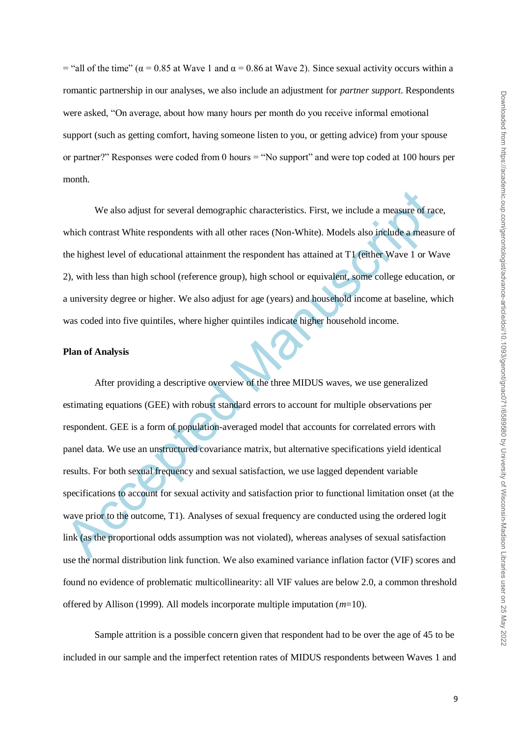= "all of the time" ( $\alpha$  = 0.85 at Wave 1 and  $\alpha$  = 0.86 at Wave 2). Since sexual activity occurs within a romantic partnership in our analyses, we also include an adjustment for *partner support*. Respondents were asked, "On average, about how many hours per month do you receive informal emotional support (such as getting comfort, having someone listen to you, or getting advice) from your spouse or partner?" Responses were coded from 0 hours  $=$  "No support" and were top coded at 100 hours per month.

We also adjust for several demographic characteristics. First, we include a measure of race, which contrast White respondents with all other races (Non-White). Models also include a measure of the highest level of educational attainment the respondent has attained at T1 (either Wave 1 or Wave 2), with less than high school (reference group), high school or equivalent, some college education, or a university degree or higher. We also adjust for age (years) and household income at baseline, which was coded into five quintiles, where higher quintiles indicate higher household income.

## **Plan of Analysis**

We also adjust for several demographic characteristics. First, we include a measure of rac<br>which contrast White respondents with all other races (Non-White). Models also include a measure<br>the highest level of educational a After providing a descriptive overview of the three MIDUS waves, we use generalized estimating equations (GEE) with robust standard errors to account for multiple observations per respondent. GEE is a form of population-averaged model that accounts for correlated errors with panel data. We use an unstructured covariance matrix, but alternative specifications yield identical results. For both sexual frequency and sexual satisfaction, we use lagged dependent variable specifications to account for sexual activity and satisfaction prior to functional limitation onset (at the wave prior to the outcome, T1). Analyses of sexual frequency are conducted using the ordered logit link (as the proportional odds assumption was not violated), whereas analyses of sexual satisfaction use the normal distribution link function. We also examined variance inflation factor (VIF) scores and found no evidence of problematic multicollinearity: all VIF values are below 2.0, a common threshold offered by Allison (1999). All models incorporate multiple imputation (*m*=10).

Sample attrition is a possible concern given that respondent had to be over the age of 45 to be included in our sample and the imperfect retention rates of MIDUS respondents between Waves 1 and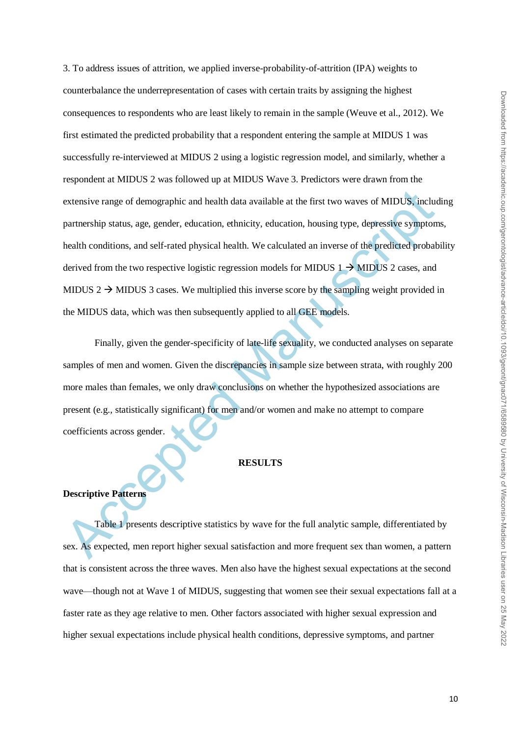extensive range of demographic and health data available at the first two waves of MIDUS, include partnership status, age, gender, education, ethnicity, education, housing type, depressive symptom<br>health conditions, and s 3. To address issues of attrition, we applied inverse-probability-of-attrition (IPA) weights to counterbalance the underrepresentation of cases with certain traits by assigning the highest consequences to respondents who are least likely to remain in the sample (Weuve et al., 2012). We first estimated the predicted probability that a respondent entering the sample at MIDUS 1 was successfully re-interviewed at MIDUS 2 using a logistic regression model, and similarly, whether a respondent at MIDUS 2 was followed up at MIDUS Wave 3. Predictors were drawn from the extensive range of demographic and health data available at the first two waves of MIDUS, including partnership status, age, gender, education, ethnicity, education, housing type, depressive symptoms, health conditions, and self-rated physical health. We calculated an inverse of the predicted probability derived from the two respective logistic regression models for MIDUS  $1 \rightarrow$  MIDUS 2 cases, and MIDUS 2  $\rightarrow$  MIDUS 3 cases. We multiplied this inverse score by the sampling weight provided in the MIDUS data, which was then subsequently applied to all GEE models.

Finally, given the gender-specificity of late-life sexuality, we conducted analyses on separate samples of men and women. Given the discrepancies in sample size between strata, with roughly 200 more males than females, we only draw conclusions on whether the hypothesized associations are present (e.g., statistically significant) for men and/or women and make no attempt to compare coefficients across gender.

#### **RESULTS**

## **Descriptive Patterns**

Table 1 presents descriptive statistics by wave for the full analytic sample, differentiated by sex. As expected, men report higher sexual satisfaction and more frequent sex than women, a pattern that is consistent across the three waves. Men also have the highest sexual expectations at the second wave—though not at Wave 1 of MIDUS, suggesting that women see their sexual expectations fall at a faster rate as they age relative to men. Other factors associated with higher sexual expression and higher sexual expectations include physical health conditions, depressive symptoms, and partner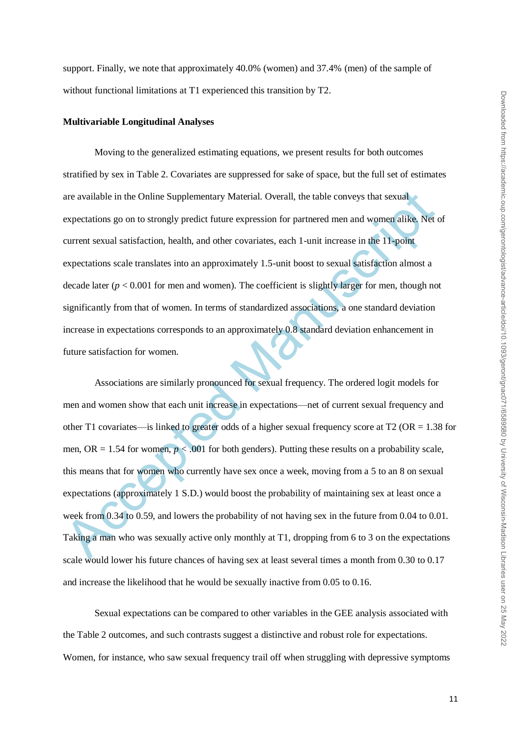support. Finally, we note that approximately 40.0% (women) and 37.4% (men) of the sample of without functional limitations at T1 experienced this transition by T2.

## **Multivariable Longitudinal Analyses**

Moving to the generalized estimating equations, we present results for both outcomes stratified by sex in Table 2. Covariates are suppressed for sake of space, but the full set of estimates are available in the Online Supplementary Material. Overall, the table conveys that sexual expectations go on to strongly predict future expression for partnered men and women alike. Net of current sexual satisfaction, health, and other covariates, each 1-unit increase in the 11-point expectations scale translates into an approximately 1.5-unit boost to sexual satisfaction almost a decade later  $(p < 0.001$  for men and women). The coefficient is slightly larger for men, though not significantly from that of women. In terms of standardized associations, a one standard deviation increase in expectations corresponds to an approximately 0.8 standard deviation enhancement in future satisfaction for women.

are available in the Online Supplementary Material. Overall, the table conveys that sexual<br>expectations go on to strongly predict future expression for partnered men and women alike. Net<br>current sexual satisfaction, healt Associations are similarly pronounced for sexual frequency. The ordered logit models for men and women show that each unit increase in expectations—net of current sexual frequency and other T1 covariates—is linked to greater odds of a higher sexual frequency score at T2 (OR = 1.38 for men,  $OR = 1.54$  for women,  $p < .001$  for both genders). Putting these results on a probability scale, this means that for women who currently have sex once a week, moving from a 5 to an 8 on sexual expectations (approximately 1 S.D.) would boost the probability of maintaining sex at least once a week from 0.34 to 0.59, and lowers the probability of not having sex in the future from 0.04 to 0.01. Taking a man who was sexually active only monthly at T1, dropping from 6 to 3 on the expectations scale would lower his future chances of having sex at least several times a month from 0.30 to 0.17 and increase the likelihood that he would be sexually inactive from 0.05 to 0.16.

Sexual expectations can be compared to other variables in the GEE analysis associated with the Table 2 outcomes, and such contrasts suggest a distinctive and robust role for expectations. Women, for instance, who saw sexual frequency trail off when struggling with depressive symptoms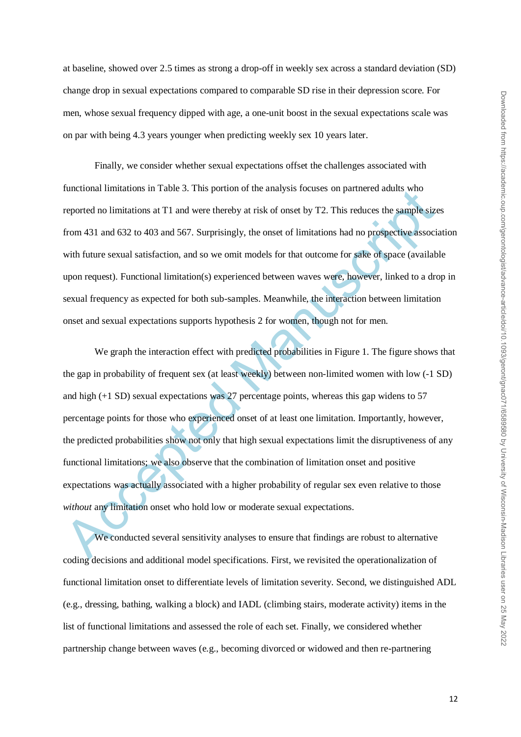at baseline, showed over 2.5 times as strong a drop-off in weekly sex across a standard deviation (SD) change drop in sexual expectations compared to comparable SD rise in their depression score. For men, whose sexual frequency dipped with age, a one-unit boost in the sexual expectations scale was on par with being 4.3 years younger when predicting weekly sex 10 years later.

Finally, we consider whether sexual expectations offset the challenges associated with functional limitations in Table 3. This portion of the analysis focuses on partnered adults who reported no limitations at T1 and were thereby at risk of onset by T2. This reduces the sample sizes from 431 and 632 to 403 and 567. Surprisingly, the onset of limitations had no prospective association with future sexual satisfaction, and so we omit models for that outcome for sake of space (available upon request). Functional limitation(s) experienced between waves were, however, linked to a drop in sexual frequency as expected for both sub-samples. Meanwhile, the interaction between limitation onset and sexual expectations supports hypothesis 2 for women, though not for men.

Interiorial immiations in Table 5. This portion of the analysis focuses on partnered admiss who<br>reported no limitations at T1 and were thereby at risk of onset by T2. This reduces the sample size<br>from 431 and 632 to 403 an We graph the interaction effect with predicted probabilities in Figure 1. The figure shows that the gap in probability of frequent sex (at least weekly) between non-limited women with low (-1 SD) and high (+1 SD) sexual expectations was 27 percentage points, whereas this gap widens to 57 percentage points for those who experienced onset of at least one limitation. Importantly, however, the predicted probabilities show not only that high sexual expectations limit the disruptiveness of any functional limitations; we also observe that the combination of limitation onset and positive expectations was actually associated with a higher probability of regular sex even relative to those *without* any limitation onset who hold low or moderate sexual expectations.

We conducted several sensitivity analyses to ensure that findings are robust to alternative coding decisions and additional model specifications. First, we revisited the operationalization of functional limitation onset to differentiate levels of limitation severity. Second, we distinguished ADL (e.g., dressing, bathing, walking a block) and IADL (climbing stairs, moderate activity) items in the list of functional limitations and assessed the role of each set. Finally, we considered whether partnership change between waves (e.g., becoming divorced or widowed and then re-partnering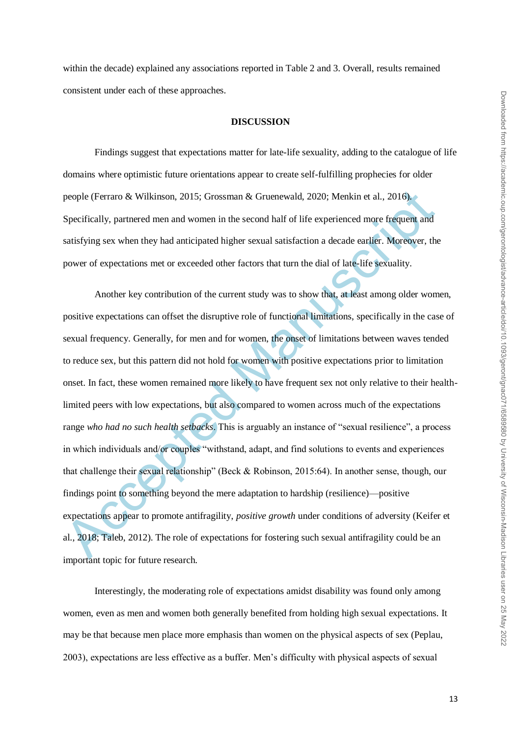within the decade) explained any associations reported in Table 2 and 3. Overall, results remained consistent under each of these approaches.

## **DISCUSSION**

Findings suggest that expectations matter for late-life sexuality, adding to the catalogue of life domains where optimistic future orientations appear to create self-fulfilling prophecies for older people (Ferraro & Wilkinson, 2015; Grossman & Gruenewald, 2020; Menkin et al., 2016). Specifically, partnered men and women in the second half of life experienced more frequent and satisfying sex when they had anticipated higher sexual satisfaction a decade earlier. Moreover, the power of expectations met or exceeded other factors that turn the dial of late-life sexuality.

people (Ferraro & Wilkinson, 2015; Grossman & Gruenewald, 2020; Menkin et al., 2016).<br>Specifically, partnered men and women in the second half of life experienced more frequent and<br>satisfying sex when they had anticipated Another key contribution of the current study was to show that, at least among older women, positive expectations can offset the disruptive role of functional limitations, specifically in the case of sexual frequency. Generally, for men and for women, the onset of limitations between waves tended to reduce sex, but this pattern did not hold for women with positive expectations prior to limitation onset. In fact, these women remained more likely to have frequent sex not only relative to their healthlimited peers with low expectations, but also compared to women across much of the expectations range *who had no such health setbacks*. This is arguably an instance of "sexual resilience", a process in which individuals and/or couples "withstand, adapt, and find solutions to events and experiences that challenge their sexual relationship" (Beck & Robinson, 2015:64). In another sense, though, our findings point to something beyond the mere adaptation to hardship (resilience)—positive expectations appear to promote antifragility, *positive growth* under conditions of adversity (Keifer et al., 2018; Taleb, 2012). The role of expectations for fostering such sexual antifragility could be an important topic for future research.

Interestingly, the moderating role of expectations amidst disability was found only among women, even as men and women both generally benefited from holding high sexual expectations. It may be that because men place more emphasis than women on the physical aspects of sex (Peplau, 2003), expectations are less effective as a buffer. Men's difficulty with physical aspects of sexual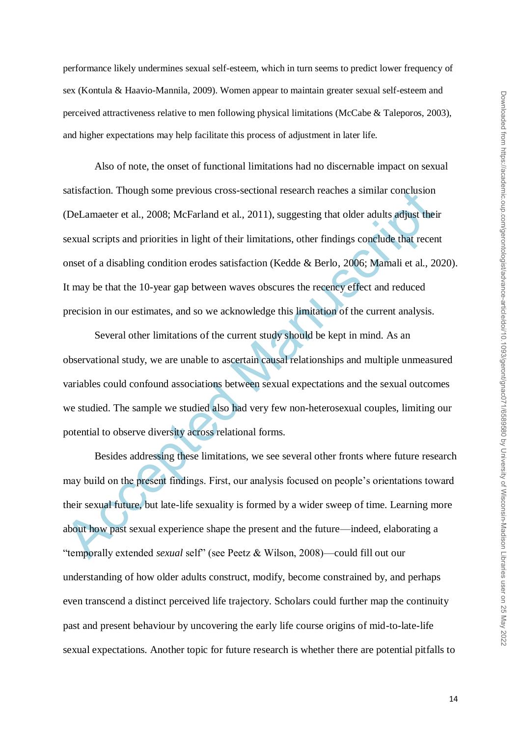performance likely undermines sexual self-esteem, which in turn seems to predict lower frequency of sex (Kontula & Haavio-Mannila, 2009). Women appear to maintain greater sexual self-esteem and perceived attractiveness relative to men following physical limitations (McCabe & Taleporos, 2003), and higher expectations may help facilitate this process of adjustment in later life.

sausfaction. Though some previous cross-sectional research reaches a similar conclusion<br>(DeLamaeter et al., 2008; McFarland et al., 2011), suggesting that older adults adjust their<br>sexual scripts and priorities in light of Also of note, the onset of functional limitations had no discernable impact on sexual satisfaction. Though some previous cross-sectional research reaches a similar conclusion (DeLamaeter et al., 2008; McFarland et al., 2011), suggesting that older adults adjust their sexual scripts and priorities in light of their limitations, other findings conclude that recent onset of a disabling condition erodes satisfaction (Kedde & Berlo, 2006; Mamali et al., 2020). It may be that the 10-year gap between waves obscures the recency effect and reduced precision in our estimates, and so we acknowledge this limitation of the current analysis.

Several other limitations of the current study should be kept in mind. As an observational study, we are unable to ascertain causal relationships and multiple unmeasured variables could confound associations between sexual expectations and the sexual outcomes we studied. The sample we studied also had very few non-heterosexual couples, limiting our potential to observe diversity across relational forms.

Besides addressing these limitations, we see several other fronts where future research may build on the present findings. First, our analysis focused on people's orientations toward their sexual future, but late-life sexuality is formed by a wider sweep of time. Learning more about how past sexual experience shape the present and the future—indeed, elaborating a ―temporally extended *sexual* self‖ (see Peetz & Wilson, 2008)—could fill out our understanding of how older adults construct, modify, become constrained by, and perhaps even transcend a distinct perceived life trajectory. Scholars could further map the continuity past and present behaviour by uncovering the early life course origins of mid-to-late-life sexual expectations. Another topic for future research is whether there are potential pitfalls to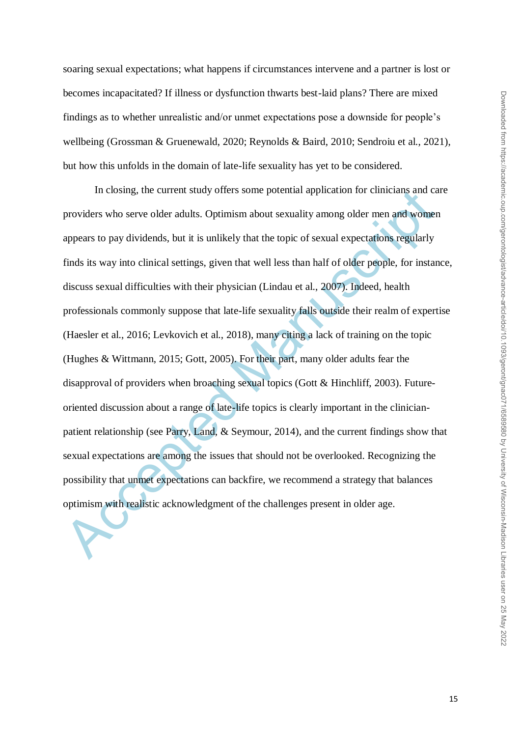soaring sexual expectations; what happens if circumstances intervene and a partner is lost or becomes incapacitated? If illness or dysfunction thwarts best-laid plans? There are mixed findings as to whether unrealistic and/or unmet expectations pose a downside for people's wellbeing (Grossman & Gruenewald, 2020; Reynolds & Baird, 2010; Sendroiu et al., 2021), but how this unfolds in the domain of late-life sexuality has yet to be considered.

In closing, the current study offers some potential application for clinicians and ca<br>providers who serve older adults. Optimism about sexuality among older men and womer<br>appears to pay dividends, but it is unlikely that t In closing, the current study offers some potential application for clinicians and care providers who serve older adults. Optimism about sexuality among older men and women appears to pay dividends, but it is unlikely that the topic of sexual expectations regularly finds its way into clinical settings, given that well less than half of older people, for instance, discuss sexual difficulties with their physician (Lindau et al., 2007). Indeed, health professionals commonly suppose that late-life sexuality falls outside their realm of expertise (Haesler et al., 2016; Levkovich et al., 2018), many citing a lack of training on the topic (Hughes & Wittmann, 2015; Gott, 2005). For their part, many older adults fear the disapproval of providers when broaching sexual topics (Gott & Hinchliff, 2003). Futureoriented discussion about a range of late-life topics is clearly important in the clinicianpatient relationship (see Parry, Land, & Seymour, 2014), and the current findings show that sexual expectations are among the issues that should not be overlooked. Recognizing the possibility that unmet expectations can backfire, we recommend a strategy that balances optimism with realistic acknowledgment of the challenges present in older age.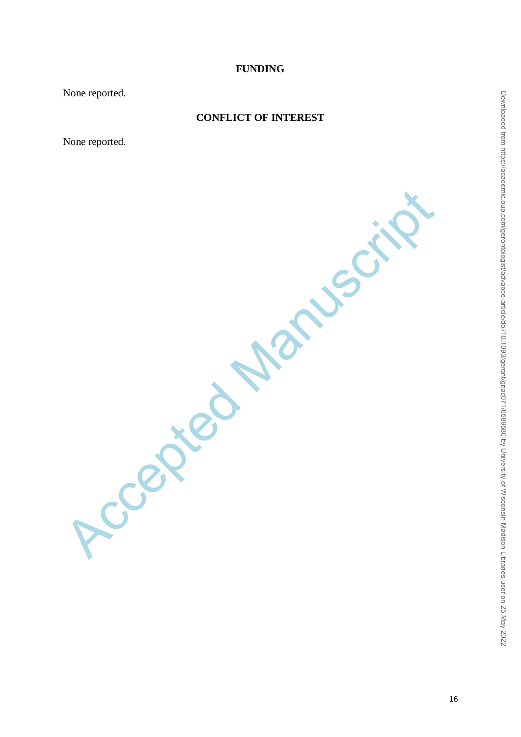# **FUNDING**

None reported.

# **CONFLICT OF INTEREST**

None reported.

Accepted Manuscript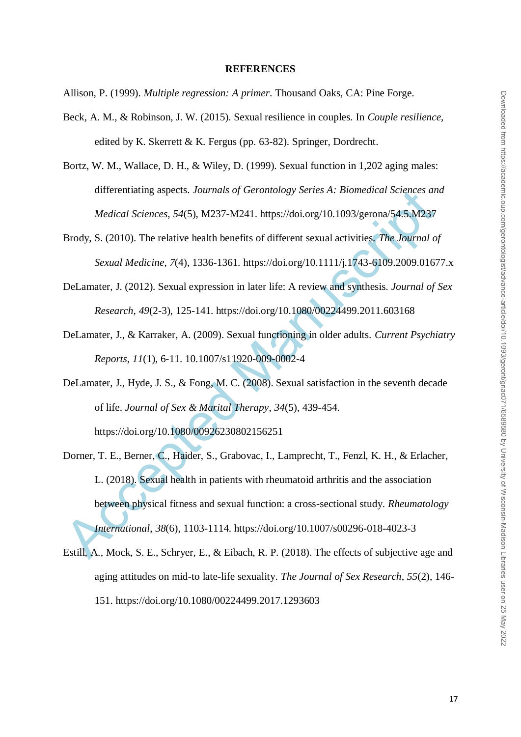#### **REFERENCES**

Allison, P. (1999). *Multiple regression: A primer*. Thousand Oaks, CA: Pine Forge.

- Beck, A. M., & Robinson, J. W. (2015). Sexual resilience in couples. In *Couple resilience,* edited by K. Skerrett & K. Fergus (pp. 63-82). Springer, Dordrecht.
- Bortz, W. M., Wallace, D. H., & Wiley, D. (1999). Sexual function in 1,202 aging males: differentiating aspects. *Journals of Gerontology Series A: Biomedical Sciences and Medical Sciences*, *54*(5), M237-M241. https://doi.org/10.1093/gerona/54.5.M237
- Brody, S. (2010). The relative health benefits of different sexual activities. *The Journal of Sexual Medicine*, *7*(4), 1336-1361. https://doi.org/10.1111/j.1743-6109.2009.01677.x
- DeLamater, J. (2012). Sexual expression in later life: A review and synthesis. *Journal of Sex Research*, *49*(2-3), 125-141. https://doi.org/10.1080/00224499.2011.603168
- DeLamater, J., & Karraker, A. (2009). Sexual functioning in older adults. *Current Psychiatry Reports*, *11*(1), 6-11. 10.1007/s11920-009-0002-4
- DeLamater, J., Hyde, J. S., & Fong, M. C. (2008). Sexual satisfaction in the seventh decade of life. *Journal of Sex & Marital Therapy*, *34*(5), 439-454. https://doi.org/10.1080/00926230802156251
- ditterentialing aspects. Journals of Gerontology Series A: Biomedical Sciences on<br>
Medical Sciences, 54(5), M237-M241. https://doi.org/10.1093/gerona/54.5.M237<br>
Brody, S. (2010). The relative health benefits of different s Dorner, T. E., Berner, C., Haider, S., Grabovac, I., Lamprecht, T., Fenzl, K. H., & Erlacher, L. (2018). Sexual health in patients with rheumatoid arthritis and the association between physical fitness and sexual function: a cross-sectional study. *Rheumatology International*, *38*(6), 1103-1114. https://doi.org/10.1007/s00296-018-4023-3
- Estill, A., Mock, S. E., Schryer, E., & Eibach, R. P. (2018). The effects of subjective age and aging attitudes on mid-to late-life sexuality. *The Journal of Sex Research*, *55*(2), 146- 151. https://doi.org/10.1080/00224499.2017.1293603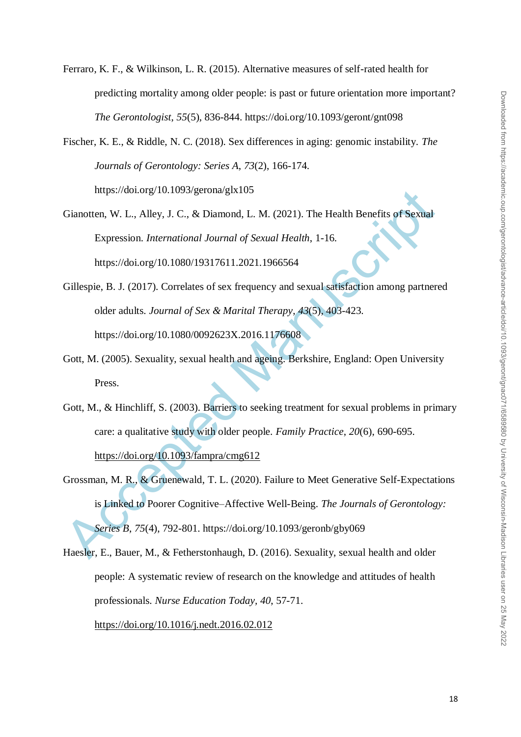- Ferraro, K. F., & Wilkinson, L. R. (2015). Alternative measures of self-rated health for predicting mortality among older people: is past or future orientation more important? *The Gerontologist*, *55*(5), 836-844. https://doi.org/10.1093/geront/gnt098
- Fischer, K. E., & Riddle, N. C. (2018). Sex differences in aging: genomic instability. *The Journals of Gerontology: Series A*, *73*(2), 166-174. https://doi.org/10.1093/gerona/glx105
- Gianotten, W. L., Alley, J. C., & Diamond, L. M. (2021). The Health Benefits of Sexual Expression. *International Journal of Sexual Health*, 1-16. https://doi.org/10.1080/19317611.2021.1966564
- Gillespie, B. J. (2017). Correlates of sex frequency and sexual satisfaction among partnered older adults. *Journal of Sex & Marital Therapy*, *43*(5), 403-423. https://doi.org/10.1080/0092623X.2016.1176608
- Gott, M. (2005). Sexuality, sexual health and ageing. Berkshire, England: Open University Press.
- Gott, M., & Hinchliff, S. (2003). Barriers to seeking treatment for sexual problems in primary care: a qualitative study with older people. *Family Practice*, *20*(6), 690-695. https://doi.org/10.1093/fampra/cmg612
- https://doi.org/10.1093/gerona/gix105<br>
Gianotten, W. L., Alley, J. C., & Diamond, L. M. (2021). The Health Benefits of Sexual<br>
Expression. International Journal of Sexual Health, 1-16.<br>
https://doi.org/10.1080/19317611.202 Grossman, M. R., & Gruenewald, T. L. (2020). Failure to Meet Generative Self-Expectations is Linked to Poorer Cognitive–Affective Well-Being. *The Journals of Gerontology: Series B*, *75*(4), 792-801. https://doi.org/10.1093/geronb/gby069
- Haesler, E., Bauer, M., & Fetherstonhaugh, D. (2016). Sexuality, sexual health and older people: A systematic review of research on the knowledge and attitudes of health professionals. *Nurse Education Today, 40*, 57-71. https://doi.org/10.1016/j.nedt.2016.02.012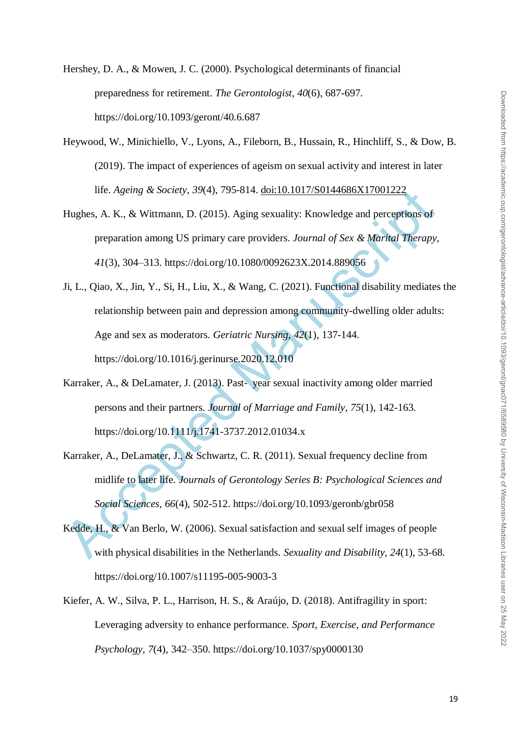Hershey, D. A., & Mowen, J. C. (2000). Psychological determinants of financial preparedness for retirement. *The Gerontologist*, *40*(6), 687-697. https://doi.org/10.1093/geront/40.6.687

- Heywood, W., Minichiello, V., Lyons, A., Fileborn, B., Hussain, R., Hinchliff, S., & Dow, B. (2019). The impact of experiences of ageism on sexual activity and interest in later life. *Ageing & Society*, *39*(4), 795-814. doi:10.1017/S0144686X17001222
- Hughes, A. K., & Wittmann, D. (2015). Aging sexuality: Knowledge and perceptions of preparation among US primary care providers. *Journal of Sex & Marital Therapy, 41*(3), 304–313. https://doi.org/10.1080/0092623X.2014.889056
- Inte. Agemy & Society, 39(4), 795-814. <u>doi:10.1017/S0144686X17001222</u><br>
Hughes, A. K., & Wittmann, D. (2015). Aging sexuality: Knowledge and perceptions of<br>
preparation among US primary care providers. Journal of Sex & Ma Ji, L., Qiao, X., Jin, Y., Si, H., Liu, X., & Wang, C. (2021). Functional disability mediates the relationship between pain and depression among community-dwelling older adults: Age and sex as moderators. *Geriatric Nursing, 42*(1), 137-144. https://doi.org/10.1016/j.gerinurse.2020.12.010
- Karraker, A., & DeLamater, J. (2013). Past‐ year sexual inactivity among older married persons and their partners. *Journal of Marriage and Family*, *75*(1), 142-163. https://doi.org/10.1111/j.1741-3737.2012.01034.x
- Karraker, A., DeLamater, J., & Schwartz, C. R. (2011). Sexual frequency decline from midlife to later life. *Journals of Gerontology Series B: Psychological Sciences and Social Sciences*, *66*(4), 502-512. https://doi.org/10.1093/geronb/gbr058
- Kedde, H., & Van Berlo, W. (2006). Sexual satisfaction and sexual self images of people with physical disabilities in the Netherlands. *Sexuality and Disability*, *24*(1), 53-68. https://doi.org/10.1007/s11195-005-9003-3
- Kiefer, A. W., Silva, P. L., Harrison, H. S., & Araújo, D. (2018). Antifragility in sport: Leveraging adversity to enhance performance. *Sport, Exercise, and Performance Psychology, 7*(4), 342–350. https://doi.org/10.1037/spy0000130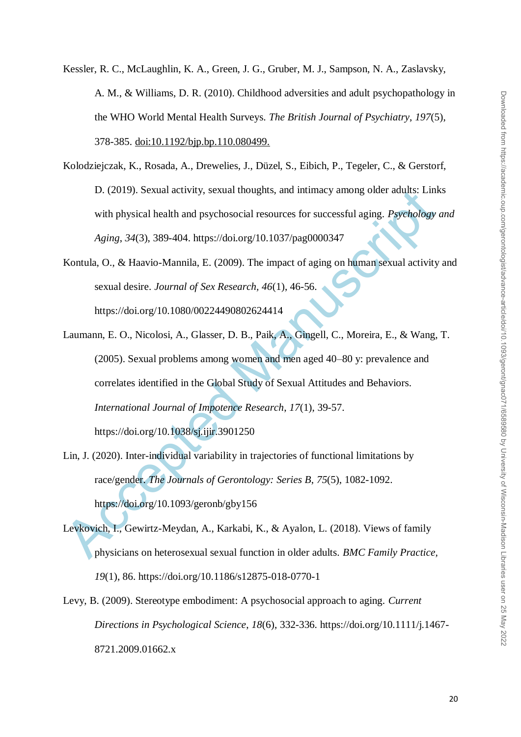- Kessler, R. C., McLaughlin, K. A., Green, J. G., Gruber, M. J., Sampson, N. A., Zaslavsky, A. M., & Williams, D. R. (2010). Childhood adversities and adult psychopathology in the WHO World Mental Health Surveys. *The British Journal of Psychiatry*, *197*(5), 378-385. doi:10.1192/bjp.bp.110.080499.
- Kolodziejczak, K., Rosada, A., Drewelies, J., Düzel, S., Eibich, P., Tegeler, C., & Gerstorf, D. (2019). Sexual activity, sexual thoughts, and intimacy among older adults: Links with physical health and psychosocial resources for successful aging. *Psychology and Aging*, *34*(3), 389-404. https://doi.org/10.1037/pag0000347
- Kontula, O., & Haavio-Mannila, E. (2009). The impact of aging on human sexual activity and sexual desire. *Journal of Sex Research, 46*(1), 46-56. https://doi.org/10.1080/00224490802624414
- D. (2019). Sexual activity, sexual thoughts, and intimacy among older adults: Lini<br>with physical health and psychosocial resources for successful aging. *Psychology*<br>Aging, 34(3), 389-404. https://doi.org/10.1037/pag000034 Laumann, E. O., Nicolosi, A., Glasser, D. B., Paik, A., Gingell, C., Moreira, E., & Wang, T. (2005). Sexual problems among women and men aged 40–80 y: prevalence and correlates identified in the Global Study of Sexual Attitudes and Behaviors. *International Journal of Impotence Research*, *17*(1), 39-57. https://doi.org/10.1038/sj.ijir.3901250
- Lin, J. (2020). Inter-individual variability in trajectories of functional limitations by race/gender. *The Journals of Gerontology: Series B*, *75*(5), 1082-1092. https://doi.org/10.1093/geronb/gby156
- Levkovich, I., Gewirtz-Meydan, A., Karkabi, K., & Ayalon, L. (2018). Views of family physicians on heterosexual sexual function in older adults. *BMC Family Practice, 19*(1), 86. https://doi.org/10.1186/s12875-018-0770-1
- Levy, B. (2009). Stereotype embodiment: A psychosocial approach to aging. *Current Directions in Psychological Science*, *18*(6), 332-336. https://doi.org/10.1111/j.1467- 8721.2009.01662.x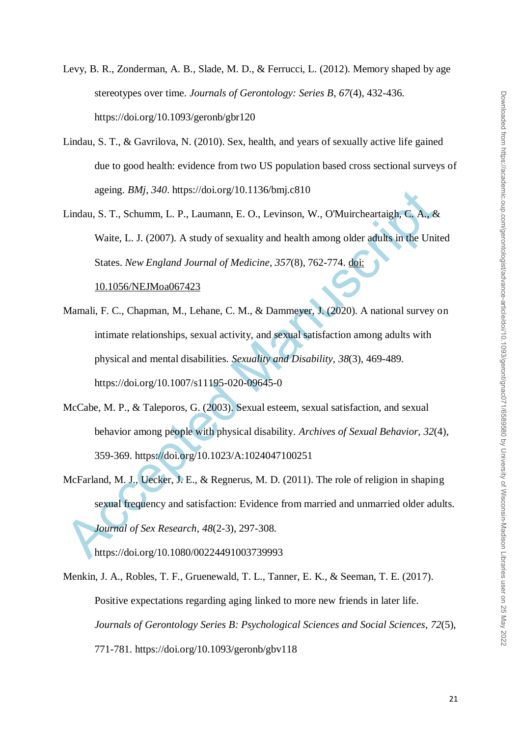- Levy, B. R., Zonderman, A. B., Slade, M. D., & Ferrucci, L. (2012). Memory shaped by age stereotypes over time. *Journals of Gerontology: Series B*, *67*(4), 432-436. https://doi.org/10.1093/geronb/gbr120
- Lindau, S. T., & Gavrilova, N. (2010). Sex, health, and years of sexually active life gained due to good health: evidence from two US population based cross sectional surveys of ageing. *BMj*, *340*. https://doi.org/10.1136/bmj.c810
- Lindau, S. T., Schumm, L. P., Laumann, E. O., Levinson, W., O'Muircheartaigh, C. A., & Waite, L. J. (2007). A study of sexuality and health among older adults in the United States. *New England Journal of Medicine*, *357*(8), 762-774. doi: 10.1056/NEJMoa067423
- ageng. *BM<sub>J</sub>*, *340.* https://doi.org/10.1136/bmj.c810<br>
Lindau, S. T., Schumm, L. P., Laumann, E. O., Levinson, W., O'Muircheartaigh, C. A., &<br>
Waite, L. J. (2007). A study of sexuality and health among older adults in t Mamali, F. C., Chapman, M., Lehane, C. M., & Dammeyer, J. (2020). A national survey on intimate relationships, sexual activity, and sexual satisfaction among adults with physical and mental disabilities. *Sexuality and Disability*, *38*(3), 469-489. https://doi.org/10.1007/s11195-020-09645-0
- McCabe, M. P., & Taleporos, G. (2003). Sexual esteem, sexual satisfaction, and sexual behavior among people with physical disability. *Archives of Sexual Behavior, 32*(4), 359-369. https://doi.org/10.1023/A:1024047100251
- McFarland, M. J., Uecker, J. E., & Regnerus, M. D. (2011). The role of religion in shaping sexual frequency and satisfaction: Evidence from married and unmarried older adults. *Journal of Sex Research*, *48*(2-3), 297-308.

https://doi.org/10.1080/00224491003739993

Menkin, J. A., Robles, T. F., Gruenewald, T. L., Tanner, E. K., & Seeman, T. E. (2017). Positive expectations regarding aging linked to more new friends in later life. *Journals of Gerontology Series B: Psychological Sciences and Social Sciences*, *72*(5), 771-781. https://doi.org/10.1093/geronb/gbv118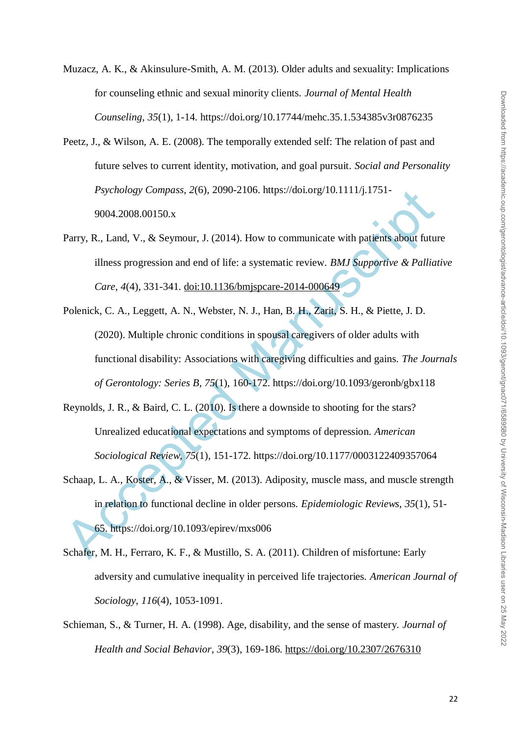- Muzacz, A. K., & Akinsulure-Smith, A. M. (2013). Older adults and sexuality: Implications for counseling ethnic and sexual minority clients. *Journal of Mental Health Counseling*, *35*(1), 1-14. https://doi.org/10.17744/mehc.35.1.534385v3r0876235
- Peetz, J., & Wilson, A. E. (2008). The temporally extended self: The relation of past and future selves to current identity, motivation, and goal pursuit. *Social and Personality Psychology Compass*, *2*(6), 2090-2106. https://doi.org/10.1111/j.1751- 9004.2008.00150.x
- Parry, R., Land, V., & Seymour, J. (2014). How to communicate with patients about future illness progression and end of life: a systematic review. *BMJ Supportive & Palliative Care*, *4*(4), 331-341. doi:10.1136/bmjspcare-2014-000649
- *Psychology Compass, 2*(6), 2090-2106. https://do.org/10.1111/<sub>1</sub>.1751-<br>9004.2008.00150.x<br>Parry, R., Land, V., & Seymour, J. (2014). How to communicate with patients about future<br>illness progression and end of life: a sys Polenick, C. A., Leggett, A. N., Webster, N. J., Han, B. H., Zarit, S. H., & Piette, J. D. (2020). Multiple chronic conditions in spousal caregivers of older adults with functional disability: Associations with caregiving difficulties and gains. *The Journals of Gerontology: Series B*, *75*(1), 160-172. https://doi.org/10.1093/geronb/gbx118
- Reynolds, J. R., & Baird, C. L. (2010). Is there a downside to shooting for the stars? Unrealized educational expectations and symptoms of depression. *American Sociological Review*, *75*(1), 151-172. https://doi.org/10.1177/0003122409357064
- Schaap, L. A., Koster, A., & Visser, M. (2013). Adiposity, muscle mass, and muscle strength in relation to functional decline in older persons. *Epidemiologic Reviews*, *35*(1), 51- 65. https://doi.org/10.1093/epirev/mxs006
- Schafer, M. H., Ferraro, K. F., & Mustillo, S. A. (2011). Children of misfortune: Early adversity and cumulative inequality in perceived life trajectories. *American Journal of Sociology*, *116*(4), 1053-1091.
- Schieman, S., & Turner, H. A. (1998). Age, disability, and the sense of mastery. *Journal of Health and Social Behavior*, *39*(3), 169-186. https://doi.org/10.2307/2676310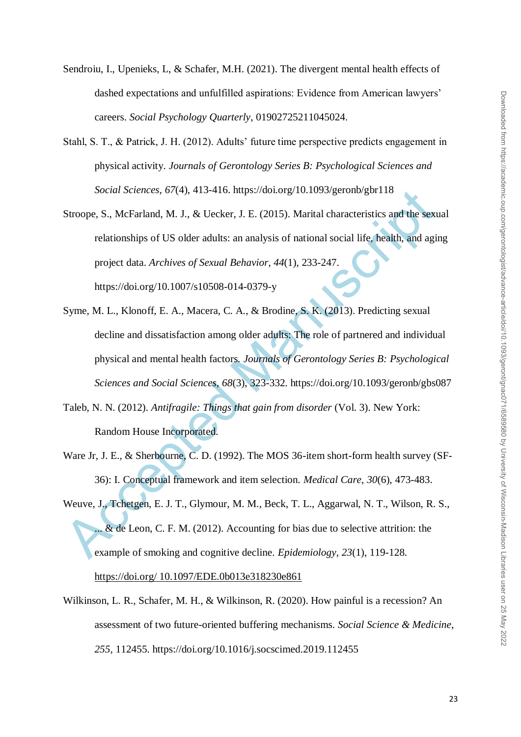- Sendroiu, I., Upenieks, L, & Schafer, M.H. (2021). The divergent mental health effects of dashed expectations and unfulfilled aspirations: Evidence from American lawyers' careers. *Social Psychology Quarterly*, 01902725211045024.
- Stahl, S. T., & Patrick, J. H. (2012). Adults' future time perspective predicts engagement in physical activity. *Journals of Gerontology Series B: Psychological Sciences and Social Sciences*, *67*(4), 413-416. https://doi.org/10.1093/geronb/gbr118
- Stroope, S., McFarland, M. J., & Uecker, J. E. (2015). Marital characteristics and the sexual relationships of US older adults: an analysis of national social life, health, and aging project data. *Archives of Sexual Behavior*, *44*(1), 233-247. https://doi.org/10.1007/s10508-014-0379-y
- Social Sciences,  $6/(4)$ , 413-416. https://doi.org/10.1093/geronbybr118<br>
Stroope, S., McFarland, M. J., & Uecker, J. E. (2015). Marital characteristics and the sext<br>
relationships of US older adults: an analysis of nationa Syme, M. L., Klonoff, E. A., Macera, C. A., & Brodine, S. K. (2013). Predicting sexual decline and dissatisfaction among older adults: The role of partnered and individual physical and mental health factors. *Journals of Gerontology Series B: Psychological Sciences and Social Sciences*, *68*(3), 323-332. https://doi.org/10.1093/geronb/gbs087
- Taleb, N. N. (2012). *Antifragile: Things that gain from disorder* (Vol. 3). New York: Random House Incorporated.
- Ware Jr, J. E., & Sherbourne, C. D. (1992). The MOS 36-item short-form health survey (SF-36): I. Conceptual framework and item selection. *Medical Care*, *30*(6), 473-483.
- Weuve, J., Tchetgen, E. J. T., Glymour, M. M., Beck, T. L., Aggarwal, N. T., Wilson, R. S., ... & de Leon, C. F. M. (2012). Accounting for bias due to selective attrition: the example of smoking and cognitive decline. *Epidemiology*, *23*(1), 119-128.

https://doi.org/ 10.1097/EDE.0b013e318230e861

Wilkinson, L. R., Schafer, M. H., & Wilkinson, R. (2020). How painful is a recession? An assessment of two future-oriented buffering mechanisms. *Social Science & Medicine*, *255*, 112455. https://doi.org/10.1016/j.socscimed.2019.112455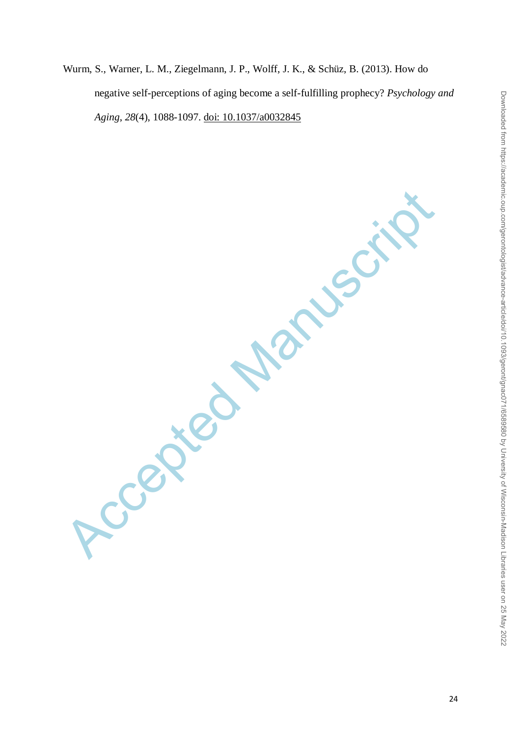Wurm, S., Warner, L. M., Ziegelmann, J. P., Wolff, J. K., & Schüz, B. (2013). How do negative self-perceptions of aging become a self-fulfilling prophecy? *Psychology and Aging*, *28*(4), 1088-1097. doi: 10.1037/a0032845

Accepted Manuscript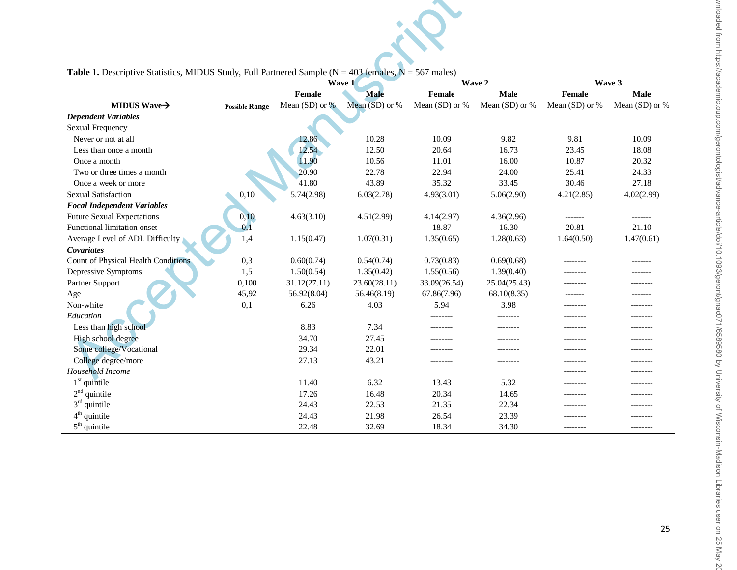| <b>Table 1.</b> Descriptive Statistics, MIDUS Study, Full Partnered Sample ( $N = 403$ females, $N = 567$ males) |                       |                  |                |                |                |                  |                |  |
|------------------------------------------------------------------------------------------------------------------|-----------------------|------------------|----------------|----------------|----------------|------------------|----------------|--|
|                                                                                                                  |                       |                  | Wave 1         |                | Wave 2         |                  | Wave 3         |  |
|                                                                                                                  |                       | Female           | <b>Male</b>    | Female         | <b>Male</b>    | Female           | Male           |  |
| MIDUS Wave $\rightarrow$                                                                                         | <b>Possible Range</b> | Mean (SD) or $%$ | Mean (SD) or % | Mean (SD) or % | Mean (SD) or % | Mean $(SD)$ or % | Mean (SD) or % |  |
| <b>Dependent Variables</b>                                                                                       |                       |                  |                |                |                |                  |                |  |
| Sexual Frequency                                                                                                 |                       |                  |                |                |                |                  |                |  |
| Never or not at all                                                                                              |                       | 12.86            | 10.28          | 10.09          | 9.82           | 9.81             | 10.09          |  |
| Less than once a month                                                                                           |                       | 12.54            | 12.50          | 20.64          | 16.73          | 23.45            | 18.08          |  |
| Once a month                                                                                                     |                       | 11.90            | 10.56          | 11.01          | 16.00          | 10.87            | 20.32          |  |
| Two or three times a month                                                                                       |                       | 20.90            | 22.78          | 22.94          | 24.00          | 25.41            | 24.33          |  |
| Once a week or more                                                                                              |                       | 41.80            | 43.89          | 35.32          | 33.45          | 30.46            | 27.18          |  |
| <b>Sexual Satisfaction</b>                                                                                       | 0,10                  | 5.74(2.98)       | 6.03(2.78)     | 4.93(3.01)     | 5.06(2.90)     | 4.21(2.85)       | 4.02(2.99)     |  |
| <b>Focal Independent Variables</b>                                                                               |                       |                  |                |                |                |                  |                |  |
| <b>Future Sexual Expectations</b>                                                                                | 0,10                  | 4.63(3.10)       | 4.51(2.99)     | 4.14(2.97)     | 4.36(2.96)     |                  | -------        |  |
| Functional limitation onset                                                                                      | 0.1                   |                  | -------        | 18.87          | 16.30          | 20.81            | 21.10          |  |
| Average Level of ADL Difficulty                                                                                  | 1,4                   | 1.15(0.47)       | 1.07(0.31)     | 1.35(0.65)     | 1.28(0.63)     | 1.64(0.50)       | 1.47(0.61)     |  |
| Covariates                                                                                                       |                       |                  |                |                |                |                  |                |  |
| Count of Physical Health Conditions                                                                              | 0,3                   | 0.60(0.74)       | 0.54(0.74)     | 0.73(0.83)     | 0.69(0.68)     | --------         | -------        |  |
| Depressive Symptoms                                                                                              | 1,5                   | 1.50(0.54)       | 1.35(0.42)     | 1.55(0.56)     | 1.39(0.40)     | --------         | -------        |  |
| Partner Support                                                                                                  | 0,100                 | 31.12(27.11)     | 23.60(28.11)   | 33.09(26.54)   | 25.04(25.43)   | --------         | --------       |  |
| Age                                                                                                              | 45,92                 | 56.92(8.04)      | 56.46(8.19)    | 67.86(7.96)    | 68.10(8.35)    |                  |                |  |
| Non-white                                                                                                        | 0,1                   | 6.26             | 4.03           | 5.94           | 3.98           | --------         | --------       |  |
| Education                                                                                                        |                       |                  |                | --------       | --------       | --------         |                |  |
| Less than high school                                                                                            |                       | 8.83             | 7.34           | --------       | ---------      | --------         | --------       |  |
| High school degree                                                                                               |                       | 34.70            | 27.45          | --------       | ---------      | --------         | --------       |  |
| Some college/Vocational                                                                                          |                       | 29.34            | 22.01          |                |                | --------         |                |  |
| College degree/more                                                                                              |                       | 27.13            | 43.21          | --------       | ---------      | --------         | --------       |  |
| Household Income                                                                                                 |                       |                  |                |                |                | --------         | --------       |  |
| $1st$ quintile                                                                                                   |                       | 11.40            | 6.32           | 13.43          | 5.32           | --------         | --------       |  |
| $2nd$ quintile                                                                                                   |                       | 17.26            | 16.48          | 20.34          | 14.65          | --------         |                |  |
| $3rd$ quintile                                                                                                   |                       | 24.43            | 22.53          | 21.35          | 22.34          | --------         | --------       |  |
| $4^{\text{th}}$ quintile                                                                                         |                       | 24.43            | 21.98          | 26.54          | 23.39          | --------         |                |  |
| $5th$ quintile                                                                                                   |                       | 22.48            | 32.69          | 18.34          | 34.30          | --------         | --------       |  |

**Table 1.** Descriptive Statistics, MIDUS Study, Full Partnered Sample (N = 403 females, N = 567 males)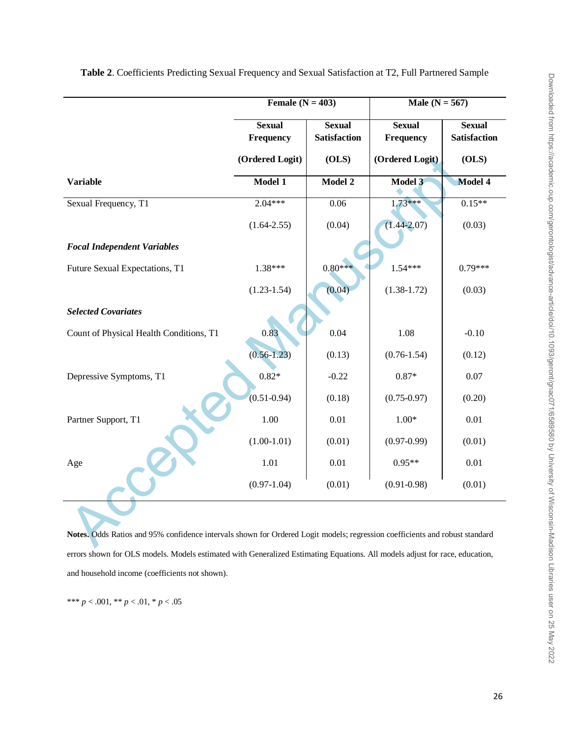|                                                                                                                             | Female $(N = 403)$         |                                      | Male $(N = 567)$           |                                      |  |  |
|-----------------------------------------------------------------------------------------------------------------------------|----------------------------|--------------------------------------|----------------------------|--------------------------------------|--|--|
|                                                                                                                             | <b>Sexual</b><br>Frequency | <b>Sexual</b><br><b>Satisfaction</b> | <b>Sexual</b><br>Frequency | <b>Sexual</b><br><b>Satisfaction</b> |  |  |
|                                                                                                                             | (Ordered Logit)            | (OLS)                                | (Ordered Logit)            | (OLS)                                |  |  |
| <b>Variable</b>                                                                                                             | Model 1                    | Model 2                              | Model 3                    | Model 4                              |  |  |
| Sexual Frequency, T1                                                                                                        | $2.04***$                  | 0.06                                 | $1.73***$                  | $0.15**$                             |  |  |
|                                                                                                                             | $(1.64 - 2.55)$            | (0.04)                               | $(1.44 - 2.07)$            | (0.03)                               |  |  |
| <b>Focal Independent Variables</b>                                                                                          |                            |                                      |                            |                                      |  |  |
| Future Sexual Expectations, T1                                                                                              | 1.38***                    | $0.80***$                            | $1.54***$                  | $0.79***$                            |  |  |
|                                                                                                                             | $(1.23 - 1.54)$            | (0.04)                               | $(1.38 - 1.72)$            | (0.03)                               |  |  |
| <b>Selected Covariates</b>                                                                                                  |                            |                                      |                            |                                      |  |  |
| Count of Physical Health Conditions, T1                                                                                     | 0.83                       | 0.04                                 | 1.08                       | $-0.10$                              |  |  |
|                                                                                                                             | $(0.56 - 1.23)$            | (0.13)                               | $(0.76 - 1.54)$            | (0.12)                               |  |  |
| Depressive Symptoms, T1                                                                                                     | $0.82*$                    | $-0.22$                              | $0.87*$                    | 0.07                                 |  |  |
|                                                                                                                             | $(0.51 - 0.94)$            | (0.18)                               | $(0.75 - 0.97)$            | (0.20)                               |  |  |
| Partner Support, T1                                                                                                         | 1.00                       | $0.01\,$                             | $1.00*$                    | 0.01                                 |  |  |
|                                                                                                                             | $(1.00-1.01)$              | (0.01)                               | $(0.97 - 0.99)$            | (0.01)                               |  |  |
| Age                                                                                                                         | 1.01                       | $0.01\,$                             | $0.95**$                   | 0.01                                 |  |  |
|                                                                                                                             | $(0.97-1.04)$              | (0.01)                               | $(0.91 - 0.98)$            | (0.01)                               |  |  |
|                                                                                                                             |                            |                                      |                            |                                      |  |  |
| Notes. Odds Ratios and 95% confidence intervals shown for Ordered Logit models; regression coefficients and robust standard |                            |                                      |                            |                                      |  |  |

**Table 2**. Coefficients Predicting Sexual Frequency and Sexual Satisfaction at T2, Full Partnered Sample

**Notes.** Odds Ratios and 95% confidence intervals shown for Ordered Logit models; regression coefficients and robust standard errors shown for OLS models. Models estimated with Generalized Estimating Equations. All models adjust for race, education, and household income (coefficients not shown).

\*\*\* *p* < .001, \*\* *p* < .01, \* *p* < .05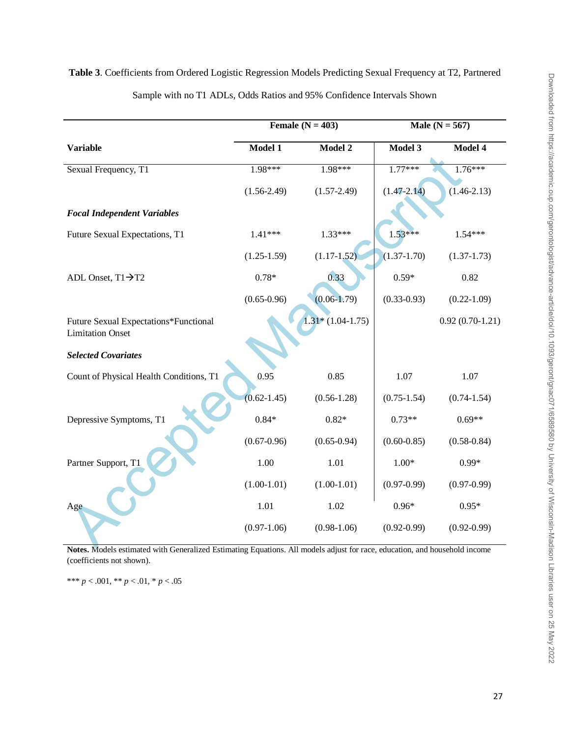|  | j                                                  |
|--|----------------------------------------------------|
|  | נ<br>ג<br>)<br>ž<br>í                              |
|  | .<br>לאומר                                         |
|  | Andrahaming P<br>I                                 |
|  |                                                    |
|  | $\frac{1}{1}$<br>י<br>;                            |
|  | )<br>)<br>)<br>)                                   |
|  | $\frac{2}{2}$                                      |
|  | $\frac{1}{2}$<br>j                                 |
|  |                                                    |
|  |                                                    |
|  | ć                                                  |
|  |                                                    |
|  |                                                    |
|  |                                                    |
|  | .<br>ج                                             |
|  | JNIVersi                                           |
|  |                                                    |
|  |                                                    |
|  |                                                    |
|  |                                                    |
|  | of Wisconsin-Madison Libraries user on 25 May 2022 |
|  |                                                    |
|  |                                                    |
|  |                                                    |

# **Table 3**. Coefficients from Ordered Logistic Regression Models Predicting Sexual Frequency at T2, Partnered Sample with no T1 ADLs, Odds Ratios and 95% Confidence Intervals Shown

**Female**  $(N = 403)$  **Male**  $(N = 567)$ 

**Model 1 Model 2 Model 3 Model 4**

| 1.98***         | 1.98***            | $1.77***$                     | $1.76***$                 |
|-----------------|--------------------|-------------------------------|---------------------------|
| $(1.56 - 2.49)$ | $(1.57 - 2.49)$    | $(1.47 - 2.14)$               | $(1.46 - 2.13)$           |
|                 |                    |                               |                           |
| $1.41***$       | $1.33***$          | $1.53***$                     | $1.54***$                 |
| $(1.25 - 1.59)$ | $(1.17-1.52)$      | $(1.37 - 1.70)$               | $(1.37 - 1.73)$           |
| $0.78*$         | 0.33               | $0.59*$                       | 0.82                      |
| $(0.65 - 0.96)$ | $(0.06 - 1.79)$    | $(0.33 - 0.93)$               | $(0.22 - 1.09)$           |
|                 | $1.31*(1.04-1.75)$ |                               | $0.92(0.70-1.21)$         |
|                 |                    |                               |                           |
| 0.95            | 0.85               | 1.07                          | 1.07                      |
| $(0.62 - 1.45)$ | $(0.56 - 1.28)$    | $(0.75 - 1.54)$               | $(0.74 - 1.54)$           |
| $0.84*$         | $0.82*$            | $0.73**$                      | $0.69**$                  |
| $(0.67 - 0.96)$ | $(0.65 - 0.94)$    | $(0.60 - 0.85)$               | $(0.58 - 0.84)$           |
| 1.00            | 1.01               | $1.00*$                       | $0.99*$                   |
| $(1.00-1.01)$   | $(1.00-1.01)$      | $(0.97 - 0.99)$               | $(0.97 - 0.99)$           |
| 1.01            | 1.02               | $0.96*$                       | $0.95*$                   |
| $(0.97-1.06)$   | $(0.98-1.06)$      | $(0.92 - 0.99)$               | $(0.92 - 0.99)$<br>1.1111 |
|                 |                    | $A$ 11<br>$-11$ $+12$<br>1.1. | 11.1                      |

**Notes.** Models estimated with Generalized Estimating Equations. All models adjust for race, education, and household income (coefficients not shown).

\*\*\* *p* < .001, \*\* *p* < .01, \* *p* < .05

**Variable**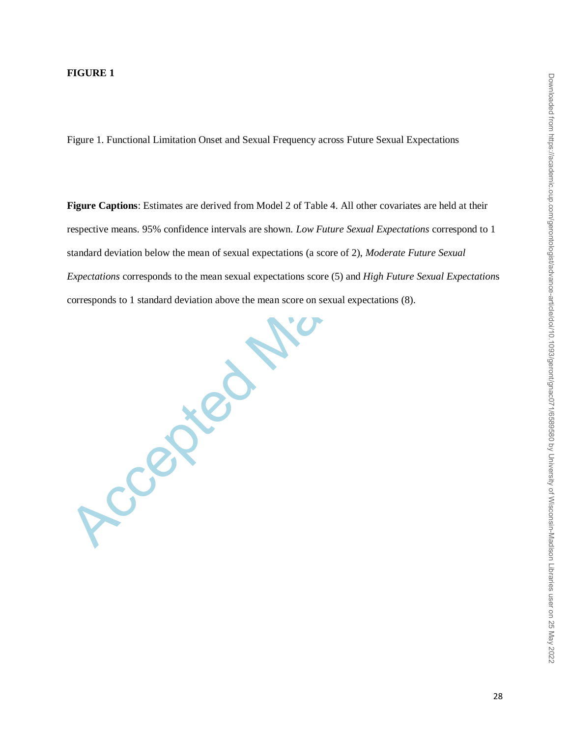#### **FIGURE 1**

Accepted Manuscript

Figure 1. Functional Limitation Onset and Sexual Frequency across Future Sexual Expectations

**Figure Captions**: Estimates are derived from Model 2 of Table 4. All other covariates are held at their respective means. 95% confidence intervals are shown. *Low Future Sexual Expectations* correspond to 1 standard deviation below the mean of sexual expectations (a score of 2), *Moderate Future Sexual Expectations* corresponds to the mean sexual expectations score (5) and *High Future Sexual Expectation*s corresponds to 1 standard deviation above the mean score on sexual expectations (8).